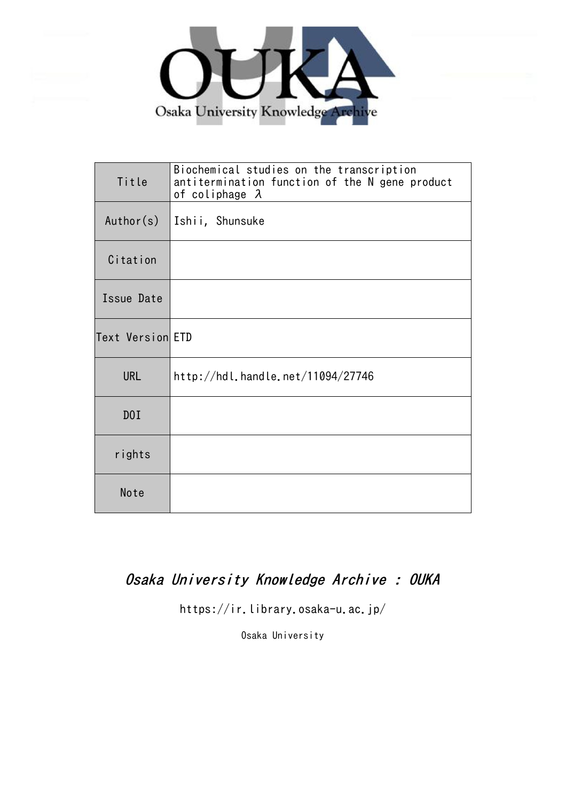

| Title            | Biochemical studies on the transcription<br>antitermination function of the N gene product<br>of coliphage $\lambda$ |
|------------------|----------------------------------------------------------------------------------------------------------------------|
| Author(s)        | Ishii, Shunsuke                                                                                                      |
| Citation         |                                                                                                                      |
| Issue Date       |                                                                                                                      |
| Text Version ETD |                                                                                                                      |
| <b>URL</b>       | http://hdl.handle.net/11094/27746                                                                                    |
| DOI              |                                                                                                                      |
| rights           |                                                                                                                      |
| Note             |                                                                                                                      |

# Osaka University Knowledge Archive : OUKA

https://ir.library.osaka-u.ac.jp/

Osaka University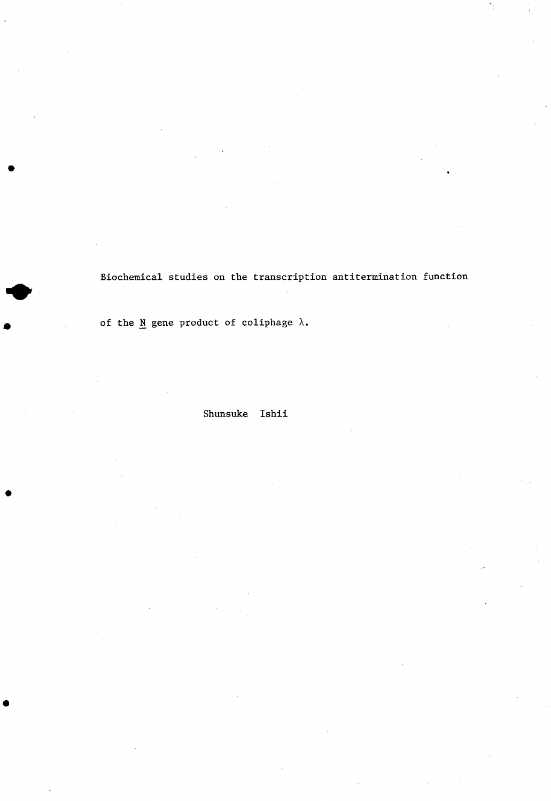Biochemical studies on the transcription antitermination function

of the  $\underline{N}$  gene product of coliphage  $\lambda$ .

Shunsuke lshii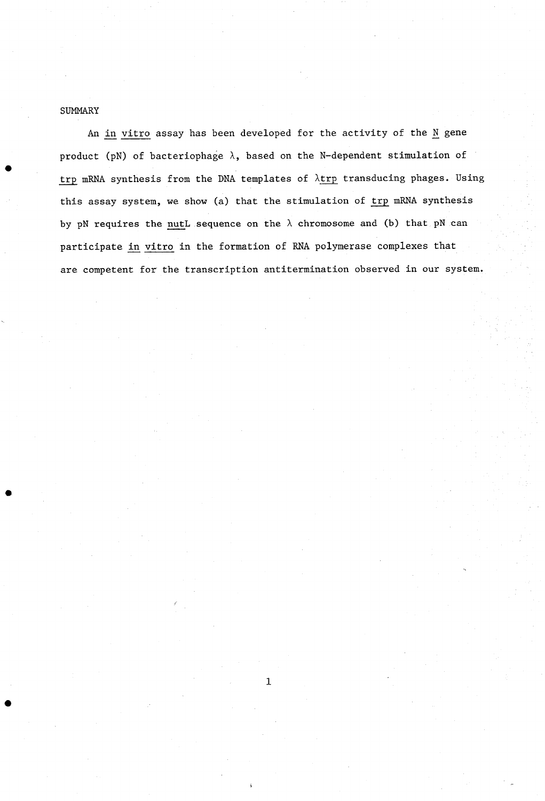### **SUMMARY**

An in vitro assay has been developed for the activity of the N gene product (pN) of bacteriophage  $\lambda$ , based on the N-dependent stimulation of trp mRNA synthesis from the DNA templates of  $\lambda$ trp transducing phages. Using this assay system, we show (a) that the stimulation of trp mRNA synthesis by pN requires the nutL sequence on the  $\lambda$  chromosome and (b) that pN can participate in vitro in the formation of RNA polymerase complexes that are competent for the transcription antitermination observed in our system.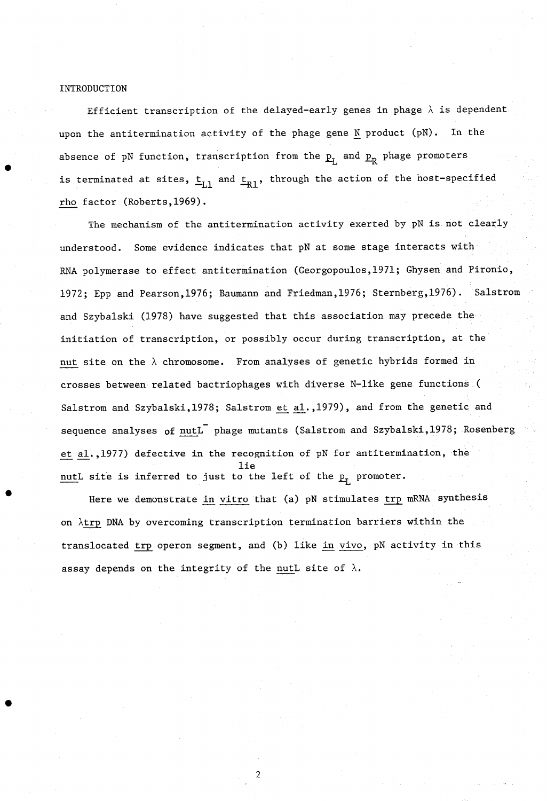#### INTRODUCTION

Efficient transcription of the delayed-early genes in phage  $\lambda$  is dependent upon the antitermination activity of the phage gene N product (pN). In the absence of pN function, transcription from the  $p_T$  and  $p_R$  phage promoters is terminated at sites,  $\underline{t}_{L1}$  and  $\underline{t}_{R1}$ , through the action of the host-specified rho factor (Roberts,1969)

The mechanism of the antitermination activity exerted by pN is not clearly understood. Some evidence indicates that pN at some stage interacts with RNA polymerase to effect antitermination (Georgopoulos, 1971; Ghysen and Pironio, 1972; Epp and Pearson, 1976; Baumann and Friedman, 1976; Sternberg, 1976). Salstrom and Szybalski (1978) have suggested that this association may precede the initiation of transcription, or possibly occur during transcription, at the nut site on the  $\lambda$  chromosome. From analyses of genetic hybrids formed in crosses between related bactriophages with diverse N-like gene functions ( Salstrom and Szybalski, 1978; Salstrom et al., 1979), and from the genetic and sequence analyses of nutL phage mutants (Salstrom and Szybalski, 1978; Rosenberg et al., 1977) defective in the recognition of pN for antitermination, the lie nutL site is inferred to just to the left of the  $p_T$  promoter.

Here we demonstrate in vitro that (a) pN stimulates trp mRNA synthesis on  $\lambda$ trp DNA by overcoming transcription termination barriers within the translocated trp operon segment, and (b) like in vivo, pN activity in this assay depends on the integrity of the nutL site of  $\lambda$ .

 $\overline{c}$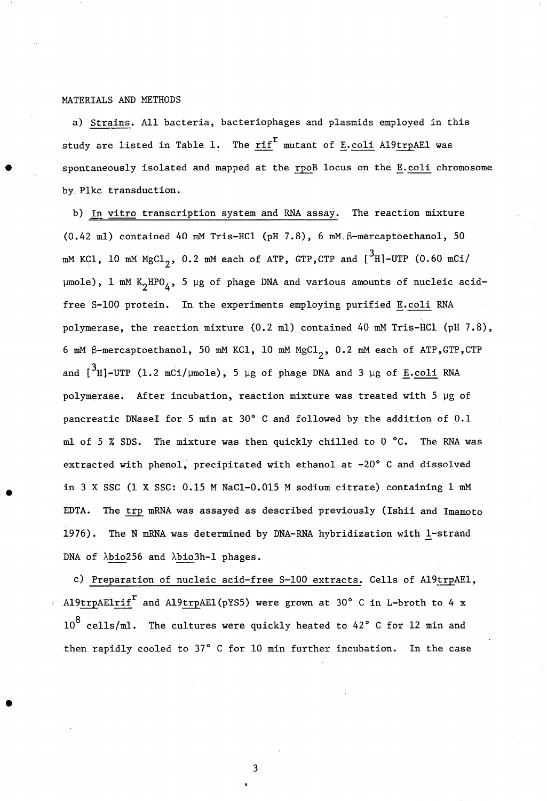## MATERIALS AND METHODS

a) Strains. All bacteria, bacteriophages and plasmids employed in this study are listed in Table 1. The  $r$ if<sup>r</sup> mutant of E.coli Al9trpAEl was spontaneously isolated and mapped at the rpoB locus on the E.coli chromosome by Plkc transduction.

b) In vitro transcription system and RNA assay. The reaction mixture  $(0.42$  ml) contained 40 mM Tris-HCl (pH 7.8), 6 mM  $\beta$ -mercaptoethanol, 50 mM KC1, 10 mM MgC1<sub>2</sub>, 0.2 mM each of ATP, GTP, CTP and  $[^3$ H]-UTP (0.60 mCi/  $\mu$ mole), 1 mM K<sub>2</sub>HPO<sub>A</sub>, 5 µg of phage DNA and various amounts of nucleic acidfree S-100 protein. In the experiments employing purified E.coli RNA polymerase, the reaction mixture  $(0.2 \text{ ml})$  contained 40 mM Tris-HCl (pH 7.8), 6 mM  $\beta$ -mercaptoethano1, 50 mM KC1, 10 mM MgC1,, 0.2 mM each of ATP, GTP, CTP and  $\binom{3}{H}$ -UTP (1.2 mCi/µmole), 5 µg of phage DNA and 3 µg of E.coli RNA polymerase. After incubation, reaction mixture was treated with 5  $\mu$ g of pancreatic DNaseI for 5 min at 30° C and followed by the addition of  $0.1$ ml of 5 % SDS. The mixture was then quickly chilled to 0 °C. The RNA was extracted with phenol, precipitated with ethanol at  $-20^{\circ}$  C and dissolved in 3 X SSC (1 X SSC:  $0.15$  M NaCl-0.015 M sodium citrate) containing 1 mM EDTA. The trp mRNA was assayed as described previously (Ishii and Imamoto 1976). The N mRNA was determined by DNA-RNA hybridization with l-strand DNA of  $\lambda$ bio256 and  $\lambda$ bio3h-1 phages.

c) Preparation of nucleic acid-free S-100 extracts. Cells of Al9trpAEl, Al9trpAElrif<sup>r</sup> and Al9trpAEl(pYS5) were grown at 30° C in L-broth to 4 x  $10^8$  cells/ml. The cultures were quickly heated to 42° C for 12 min and then rapidly cooled to 37° C for 10 min further incubation. In the case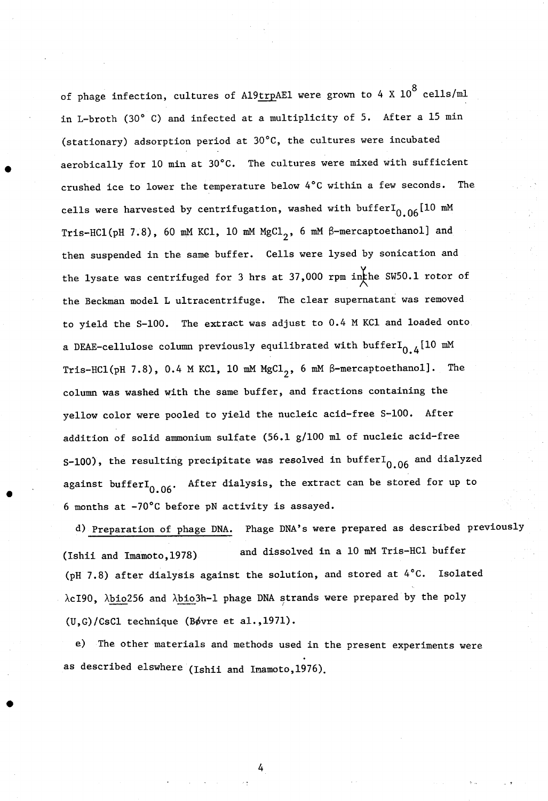of phage infection, cultures of Al9 $trpAEL$  were grown to 4 X  $10^8$  cells/ml</u> in L-broth (30' C) and infected at a multiplicity of 5. After a 15 min (stationary) adsorption period at  $30^{\circ}$ C, the cultures were incubated aerobically for 10 min at  $30^{\circ}$ C. The cultures were mixed with sufficient crushed ice to lower the temperature below 4"C within a few seconds. The cells were harvested by centrifugation, washed with buffer $I_{0.06}$ [10 mM Tris-HCl(pH 7.8), 60 mM KCl, 10 mM MgCl<sub>2</sub>, 6 mM  $\beta$ -mercaptoethanol] and then suspended in the same buffer. Cells were lysed by sonication and the lysate was centrifuged for 3 hrs at 37,000 rpm in the SW50.1 rotor of the Beckman nodel L ultracentrifuge. The clear supernatant was removed to yield the S-100. The extract was adjust to 0.4 M KCl and loaded onto a DEAE-cellulose column previously equilibrated with buffer $I_{0.4}$ [10 mM Tris-HCl(pH 7.8), 0.4 M KCl, 10 mM MgCl<sub>2</sub>, 6 mM  $\beta$ -mercaptoethanol]. The column was washed with the same buffer, and fractions containing the yellow color were pooled to yield the nucleic acid-free S-100. After addition of solid ammonium sulfate  $(56.1\text{ g}/100\text{ m}1$  of nucleic acid-free S-100), the resulting precipitate was resolved in bufferl $_{0.06}$  and dialyzed against  $\text{buffer1}_{0.06}$ . After dialysis, the extract can be stored for up to  $\bullet$   $\qquad \qquad \bullet$   $\qquad \qquad \bullet$   $\qquad \qquad \bullet$   $\qquad \qquad \bullet$ 6 months at  $-70^{\circ}$ C before pN activity is assayed.

> d) Preparation of phage DNA. Phage DNA's were prepared as described previously (Ishii and Imamoto, 1978) and dissolved in a 10 mM Tris-HCl buffer (pH 7.8) after dialysis against the solution, and stored at  $4^{\circ}$ C. Isolated  $\lambda$ cI90,  $\lambda$ bio256 and  $\lambda$ bio3h-l phage DNA strands were prepared by the poly (u,G)/csct technique (Bdvre et a1.,1971).

The other materials and methods used in the present experiments were as described elswhere (Ishii and Imamoto, 1976).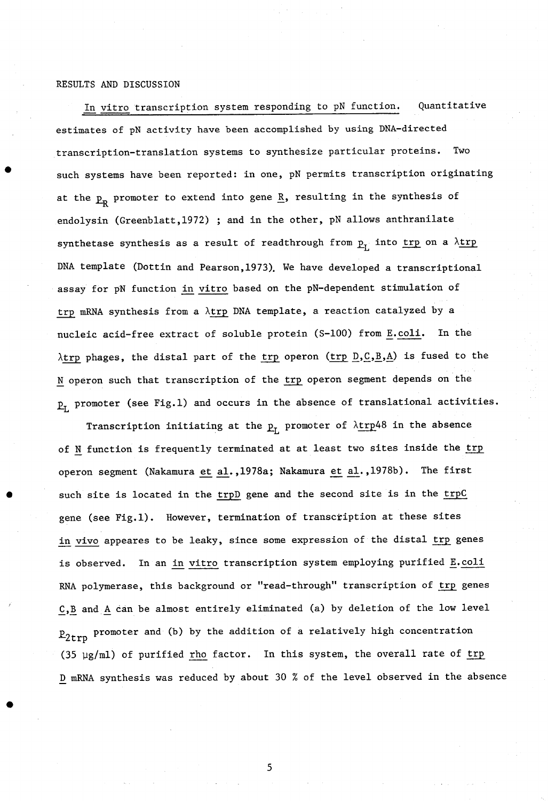#### RESULTS AND DISCUSSION

In vitro transcription system responding to pN function. Quantitative estimates of pN activity have been accomplished by using DNA-directed transcription-translation systems to synthesize particular proteins. Two such systems have been reported: in one, pN permits transcription originating at the  $P_R$  promoter to extend into gene  $R$ , resulting in the synthesis of endolysin (Greenblatt, 1972) ; and in the other, pN allows anthranilate synthetase synthesis as a result of readthrough from  $p_1$  into trp on a  $\lambda$ trp DNA template (Dottin and Pearson, 1973). We have developed a transcriptional assay for pN function in vitro based on the pN-dependent stimulation of trp mRNA synthesis from a  $\lambda$ trp DNA template, a reaction catalyzed by a nucleic acid-free extract of soluble protein (S-100) from E.coli. In the  $\lambda$ trp phages, the distal part of the trp operon (trp  $D, C, B, A$ ) is fused to the N operon such that transcription of the trp operon segment depends on the  $p_1$  promoter (see Fig.1) and occurs in the absence of translational activities.

Transcription initiating at the  $p_1$  promoter of  $\lambda$ trp48 in the absence of N function is frequently terminated at at least two sites inside the trp operon segment (Nakamura et al., 1978a; Nakamura et al., 1978b). The first such site is located in the trpD gene and the second site is in the trpC gene (see Fig.1). However, termination of transcription at these sites in vivo appeares to be leaky, since some expression of the distal trp genes is observed. In an in vitro transcription system employing purified E.coli RNA polymerase, this background or "read-through" transcription of trp genes  $C, B$  and  $A$  can be almost entirely eliminated (a) by deletion of the low level  $P_{2\text{trp}}$  promoter and (b) by the addition of a relatively high concentration (35  $\mu$ g/ml) of purified rho factor. In this system, the overall rate of trp <sup>D</sup>mRNA synthesis was reduced by about 30 % of the level observed in the absence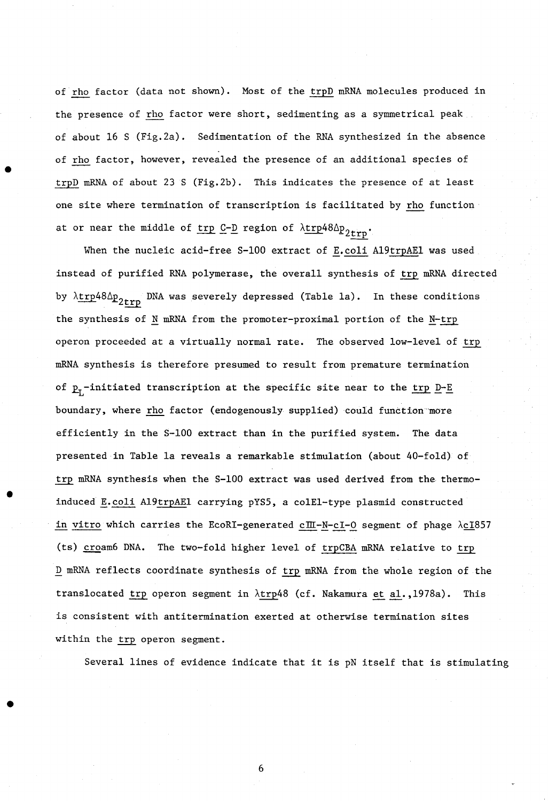of rho factor (data not shown). Most of the trpD mRNA molecules produced in the presence of rho factor were short, sedimenting as a symmetrical peak of about 16 S (Fig.2a). Sedimentation of the RNA synthesized in the absence of rho factor, however, revealed the presence of an additional species of trpD mRNA of about 23 S (Fig.2b). This indicates the presence of at least one site where ternination of transeription is facilitated by rho function at or near the middle of trp  $C-D$  region of  $\lambda$ trp48 $\Delta p$ <sub>2trp</sub>.

When the nucleic acid-free S-100 extract of E.coli Al9trpAE1 was used instead of purified RNA polymerase, the overall synthesis of trp mRNA directed by  $\lambda$ trp48 $\Delta$ p<sub>2trp</sub> DNA was severely depressed (Table la). In these conditions the synthesis of  $M$  mRNA from the promoter-proximal portion of the  $N$ -trp operon proceeded at a virtually normal rate. The observed low-level of trp mRNA synthesis is therefore presumed to result from premature termination of  $p_T$ -initiated transcription at the specific site near to the trp D-E boundary, where rho factor (endogenously supplied) could function more efficiently in the 5-100 extraet than in the purified system. The data presented in Table la reveals a remarkable stimulation (about 40-fold) of trp nRNA synthesis when the 5-100 extract was used derived from the thermoinduced E.coli Al9trpAE1 carrying pYS5, a colEl-type plasmid constructed in vitro which carries the EcoRI-generated  $cH - N - cI - 0$  segment of phage  $\lambda cI857$ (ts) croam6 DNA. The two-fold higher level of trpCBA mRNA relative to trp D mRNA reflects coordinate synthesis of trp mRNA from the whole region of the translocated trp operon segment in  $\lambda$ trp48 (cf. Nakamura et al., 1978a). This is consistent with antitermination exerted at otherwise termination sites within the trp operon segment.

Several lines of evidence indicate that it is pN itself that is stinulating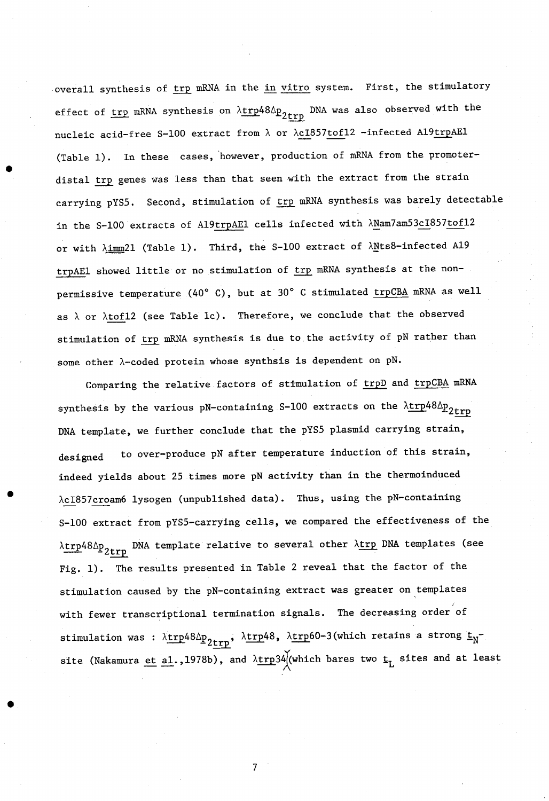overall synthesis of trp mRNA in the in vitro system. First, the stimulatory effect of trp mRNA synthesis on  $\lambda$ trp48 $\Delta p$ <sub>2trp</sub> DNA was also observed with the nucleic acid-free S-100 extract from  $\lambda$  or  $\lambda$ cI857tof12 -infected A19trpAE1 (Table 1). In these cases, however, production of mRNA from the promoterdistal trp genes was less than that seen with the extract from the strain carrying pYS5. Second, stimulation of trp mRNA synthesis was barely detectable in the S-100 extracts of Al9 $trpAE1$  cells infected with  $\lambda$ Nam7am53cI857tofl2</u> or with  $\lambda$ imm21 (Table 1). Third, the S-100 extract of  $\lambda$ Nts8-infected A19 trpAEl showed little or no stimulation of trp mRNA synthesis at the nonpermissive temperature (40° C), but at 30° C stimulated trpCBA mRNA as well as  $\lambda$  or  $\lambda$ tof12 (see Table 1c). Therefore, we conclude that the observed stimulation of trp mRNA synthesis is due to the activity of pN rather than some other  $\lambda$ -coded protein whose synthsis is dependent on pN.

Comparing the relative factors of stimulation of trpD and trpCBA mRNA synthesis by the various pN-containing S-100 extracts on the  $\lambda$ trp48 $\Delta p$ <sub>2trp</sub> DNA template, we further conclude that the pYS5 plasmid carrying strain, designed to over-produce pN after temperature induction of this strain, indeed yields about 25 times more pN activity than in the thermoinduced  $\lambda$ cI857croam6 lysogen (unpublished data). Thus, using the pN-containing 5-100 extract fron pYS5-carrying cells, we compared the effectiveness of the  $\lambda$ trp48 $\Delta$ p<sub>2trp</sub> DNA template relative to several other  $\lambda$ trp DNA templates (see Fig. 1). The results presented in Table 2 reveal that the factor of the stimulation caused by the pN-containing extract was greater on templates with fewer transcriptional termination signals. The decreasing order of stimulation was :  $\lambda$ trp48 $\Delta p$ <sub>2trp</sub>,  $\lambda$ trp48,  $\lambda$ trp60-3(which retains a strong  $t_N$ site (Nakamura et al.,1978b), and  $\lambda$ trp34 $($ which bares two  $t_L$  sites and at least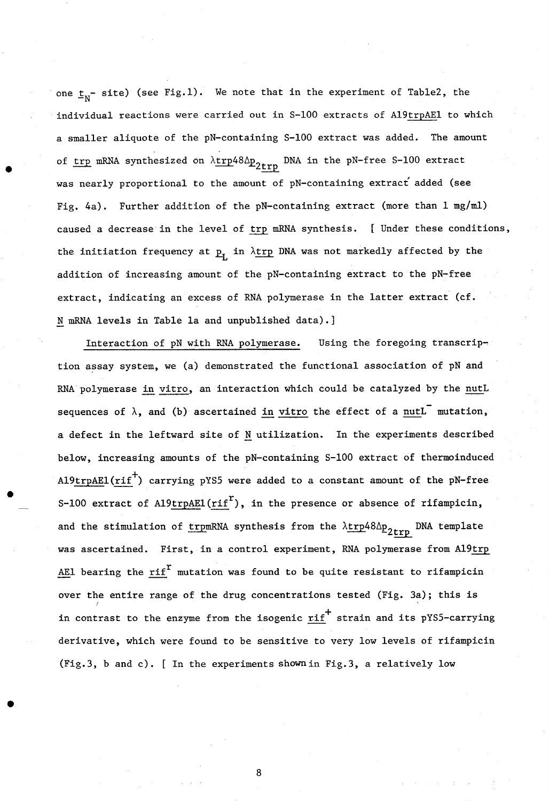one  $\underline{t}_N^-$  site) (see Fig.1). We note that in the experiment of Table2, the individual reactions were carried out in S-100 extracts of Al9trpAEl to which a smaller aliquote of the pN-containing S-100 extract was added. The amount of trp mRNA synthesized on  $\lambda$ trp48 $\Delta p$ <sub>2trp</sub> DNA in the pN-free S-100 extract was nearly proportional to the amount of pN-containing extract added (see Fig. 4a). Further addition of the pN-containing extract (more than 1 ng/ml) caused a decrease in the level of trp mRNA synthesis. [ Under these conditions, the initiation frequency at  $p_1$  in  $\lambda$ trp DNA was not markedly affected by the addition of increasing amount of the pN-containing extract to the pN-free extract, indicating an excess of RNA polymerase in the latter extract (cf. N mRNA levels in Table la and unpublished data).]

Interaction of pN with RNA polymerase. Using the foregoing transcription assay system, we (a) demonstrated the functional association of pN and RNA polymerase in vitro, an interaction which could be catalyzed by the nutL sequences of  $\lambda$ , and (b) ascertained in vitro the effect of a nutL<sup>-</sup> mutation, a defect in the leftward site of N utilization. In the experiments described below, increasing amounts of the pN-containing 5-100 extract of thermoinduced Al9 $\texttt{trpAE1}(\texttt{rif}^+)$  carrying pYS5 were added to a constant amount of the pN-free S-100 extract of Al9trpAEl( $\text{rif}^r$ ), in the presence or absence of rifampicin, and the stimulation of trpmRNA synthesis from the  $\lambda$ trp $48$ A $p_{2\text{trp}}$  DNA template was ascertained. First, in a control experiment, RNA polymerase from Al9trp <u>AE</u>l bearing the  $\texttt{rif}^\texttt{r}$  mutation was found to be quite resistant to rifampicin over the entire range of the drug concentrations tested (Fig. 3a); this is in contrast to the enzyme from the isogenic  $\underline{rif}^+$  strain and its pYS5-carrying derivative, which were found to be sensitive to very low levels of rifampicin (fig.3, b and c). I In the experiments shownin Fig.3, a relatively low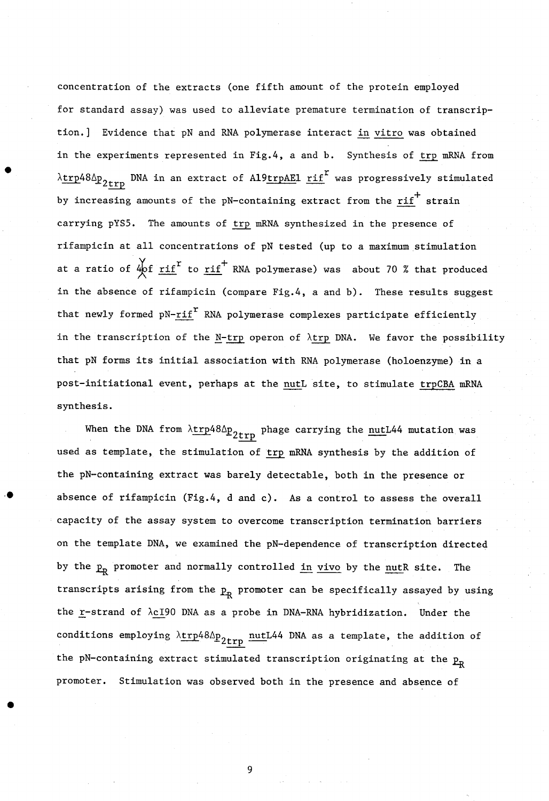concentration of the extracts (one fifth amount of the protein employed for standard assay) was used to alleviate premature termination of transcription. ] Evidence that pN and RNA polymerase interact in vitro was obtained in the experiments represented in Fig.4, a and b. Synthesis of trp nRNA from  $\lambda$ trp48 $\Delta p$ <sub>2trp</sub> DNA in an extract of A19trpAE1 rif<sup>r</sup> was progressively stimulated by increasing amounts of the pN-containing extract from the rif<sup>+</sup> strain carrying pYS5. The amounts of trp mRNA synthesized in the presence of rifampicin at all concentrations of pN tested (up to a maximum stimulation at a ratio of  $\overline{\psi}$ f <u>rif</u><sup>r</sup> to <u>rif</u><sup>+</sup> RNA polymerase) was about 70 % that produced in the absence of rifampicin (compare Fig.4, a and b). These results suggest that newly formed  $pN-rif^T$  RNA polymerase complexes participate efficiently in the transcription of the N-trp operon of  $\lambda$ trp DNA. We favor the possibility that pN forms its initial association with RNA polymerase (holoenzyme) in <sup>a</sup> post-initiational event, perhaps at the nutL site, to stimulate trpCBA mRNA synthesis.

When the DNA from  $\lambda$ trp48 $\Delta$ p<sub>2trp</sub> phage carrying the nutl44 mutation was used as template, the stimulation of trp mRNA synthesis by the addition of the pN-containing extract was barely detectable, both in the presence or absence of rifampicin (Fig.4, d and c). As a control to assess the overall capacity of the assay system to overcome transcription termination barriers on the template DNA, we examined the pN-dependence of transcription directed by the  $p_R$  promoter and normally controlled in vivo by the nutR site. The transcripts arising from the  $p_{p}$  promoter can be specifically assayed by using the  $r$ -strand of  $\lambda c$ I90 DNA as a probe in DNA-RNA hybridization. Under the conditions employing  $\lambda$ trp48Ap<sub>2trp</sub> nutL44 DNA as a template, the addition of the pN-containing extract stimulated transcription originating at the  $P_R$ promoter. Stimulation was observed both in the presence and absence of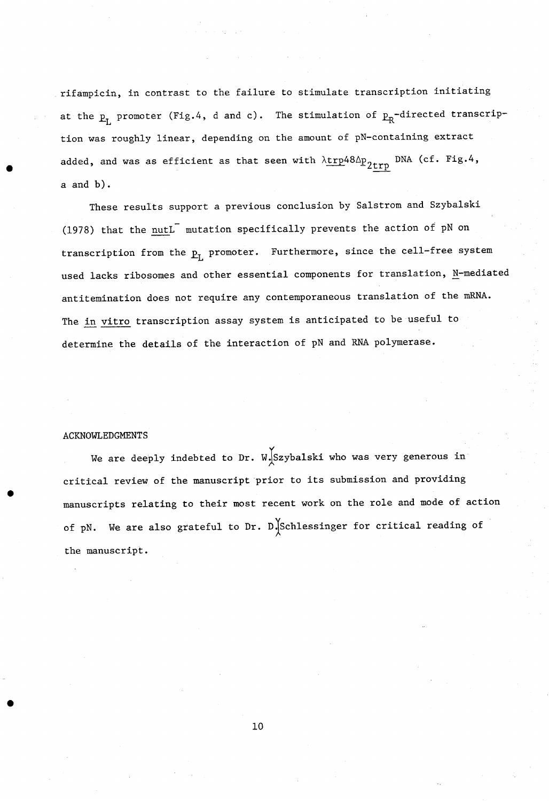rifampicin, in contrast to the failure to stimulate transcription initiating at the  $p_L$  promoter (Fig.4, d and c). The stimulation of  $p_R$ -directed transcription was roughly linear, depending on the amount of pN-containing extract added, and was as efficient as that seen with  $\lambda$ trp48 $\Delta p$ <sub>2trp</sub> DNA (cf. Fig.4,  $a$  and  $b$ ).

These results support a previous conclusion by Salstrom and Szybalski (1978) that the nutL mutation specifically prevents the action of pN on transcription from the  $\underline{p}_L$  promoter. Furthermore, since the cell-free system used lacks ribosomes and other essential components for translation, N-mediated antitemination does not require any contemporaneous translation of the mRNA. The in vitro transcription assay system is anticipated to be useful to determine the details of the interaction of pN and RNA polymerase.

#### **ACKNOWLEDGMENTS**

We are deeply indebted to Dr. W.Szybalski who was very generous in critical review of the manuscript prior to its submission and providing manuscripts relating to their most recent work on the role and mode of action of pN. We are also grateful to Dr. D.Schlessinger for critical reading of the manuscript.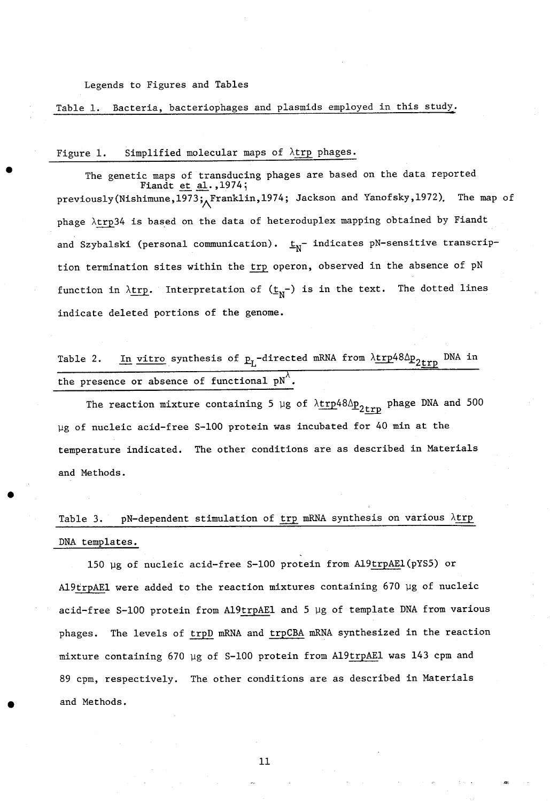Legends to Figures and Tables

Table 1. Bacteria, bacteriophages and plasmids employed in this study.

### Figure 1. Simplified molecular maps of  $\lambda$ trp phages.

The genetic maps of transducing phages are based on the data reported Fiandt et al., 1974; previously(Nishimune,1973; Franklin,1974; Jackson and Yanofsky,1972). The map of phage  $\lambda$ trp34 is based on the data of heteroduplex mapping obtained by Fiandt and Szybalski (personal communication).  $\underline{\mathsf{t}}_\text{N}^-$  indicates pN-sensitive transcription termination sites within the trp operon, observed in the absence of pN function in  $\lambda$ trp. Interpretation of  $(\underline{t}_N^-)$  is in the text. The dotted lines indicate deleted portions of the genome.

# Table 2. In vitro synthesis of  $p_T$ -directed mRNA from  $\lambda$ trp48 $\Delta p_{2\text{trp}}$  DNA in the presence or absence of functional  $pN^{\lambda}$ .

The reaction mixture containing 5 µg of  $\lambda$ trp48 $\Delta$ p<sub>2trp</sub> phage DNA and 500  $\mu$ g of nucleic acid-free S-100 protein was incubated for 40 min at the temperature indicated. The other conditions are as described in Materials and Methods.

## Table 3. pN-dependent stimulation of trp mRNA synthesis on various  $\lambda$ trp DNA templates.

150 µg of nucleic acid-free S-100 protein from Al9trpAE1(pYS5) or Al9trpAE1 were added to the reaction mixtures containing 670 µg of nucleic acid-free S-100 protein from Al9trpAEl and 5 µg of template DNA from various phages. The levels of trpD mRNA and trpCBA mRNA synthesized in the reaction mixture containing 670 µg of S-100 protein from A19trpAEl was 143 cpm and 89 cpm, respectively. The other conditions are as described in Materials and Methods.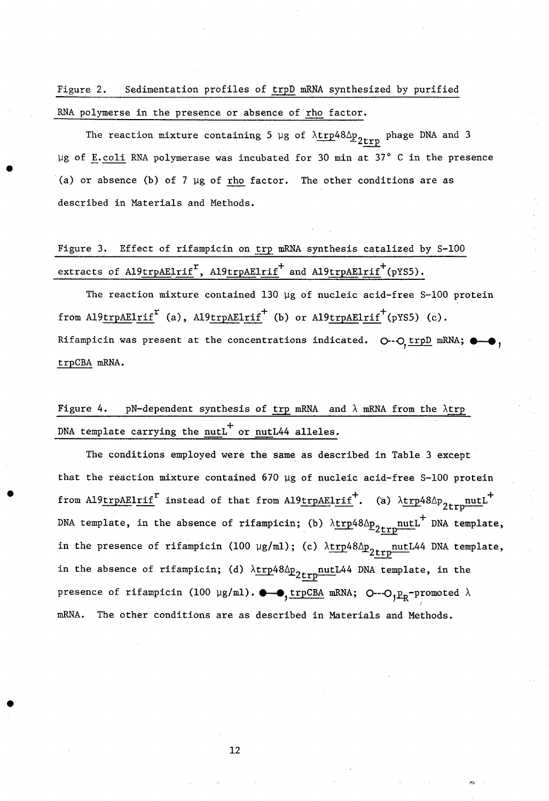Figure 2. Sedinentation profiles of trpD mRNA synthesized by purified RNA polymerse in the presence or absence of rho factor.

a

The reaction mixture containing 5 µg of  $\lambda$ trp48 $\Delta p$ <sub>2trp</sub> phage DNA and 3  $\mu$ g of E.coli RNA polymerase was incubated for 30 min at 37° C in the presence (a) or absence (b) of  $7 \mu g$  of rho factor. The other conditions are as described in Materials and Methods.

Figure 3. Effect of rifampicin on trp mRNA synthesis catalized by S-100 extracts of Al9trpAElrif<sup>r</sup>, Al9trpAElrif<sup>+</sup> and Al9trpAElrif<sup>+</sup>(pYS5).

The reaction mixture contained 130 µg of nucleic acid-free S-100 protein from Al9trpAElrif<sup>r</sup> (a), Al9trpAElrif<sup>+</sup> (b) or Al9trpAElrif<sup>+</sup>(pYS5) (c). Rifampicin was present at the concentrations indicated.  $O$ - $O$ , trpD mRNA;  $\bullet$ trpCBA nRNA.

Figure 4. pN-dependent synthesis of trp mRNA and  $\lambda$  mRNA from the  $\lambda$ trp  $\tt{DNA template carrying the nut <sup>+</sup> or nut <sup>L44</sup> alleles.}$ 

The conditions employed were the same as described in Table 3 except that the reaction mixture contained  $670 \mu g$  of nucleic acid-free S-100 protein from A19trpAElrif<sup>r</sup> instead of that from A19trpAElrif<sup>+</sup>. (a)  $\lambda$ trp48 $\Delta p$ <sub>2trp</sub>nutL<sup>+</sup> DNA template, in the absence of rifampicin; (b)  $\lambda$ trp48 $\Delta$ p<sub>2trp</sub>nutL<sup>+</sup> DNA template, in the presence of rifampicin (100  $\mu$ g/ml); (c)  $\lambda$ rrp48 $\Delta p$ <sub>2trp</sub>nutL44 DNA template, in the absence of rifampicin; (d)  $\lambda$ trp48 $\Delta$ p<sub>2trp</sub>nutL44 DNA template, in the presence of rifampicin (100  $\mu$ g/m1).  $\bullet\bullet$ , trpCBA mRNA; C- $\circ$ , $p_R$ -promoted  $\lambda$ nRNA. The other conditions are as described in Materials and Methods.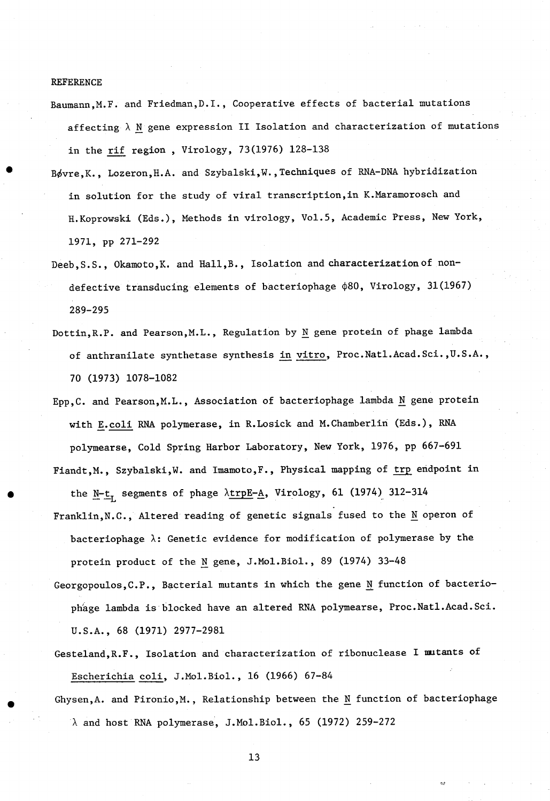#### REFERENCE

- Baumann, M.F. and Friedman, D.I., Cooperative effects of bacterial mutations affecting  $\lambda$  N gene expression II Isolation and characterization of mutations in the rif region , Virology, 73(L976) 128-138
- Bøvre, K., Lozeron, H.A. and Szybalski, W., Techniques of RNA-DNA hybridization in solution for the study of viral transcription, in K.Maramorosch and H.Koprowski (Eds.), Methods in virology, Vol.5, Academic Press, New York, L97L, pp 27L-292
- Deeb, S.S., Okamoto, K. and Hall, B., Isolation and characterization of nondefective transducing elements of bacteriophage  $\phi$ 80, Virology, 31 (1967) 289-295
- Dottin, R.P. and Pearson, M.L., Regulation by N gene protein of phage lambda of anthranilate synthetase synthesis in vitro, Proc.Natl.Acad.Sci.,U.S.A., 70 (1973) 1078-1082
- Epp, C. and Pearson, M.L., Association of bacteriophage lambda  $M$  gene protein with E.coli RNA polymerase, in R.Losick and M.Chamberlin (Eds.), RNA polymearse, Cold Spring Harbor Laboratory, New York, 1976, pp 667-691
- Fiandt, M., Szybalski, W. and Imamoto, F., Physical mapping of trp endpoint in the  $N-t_1$  segments of phage  $\lambda$ trpE-A, Virology, 61 (1974)<sub>2</sub> 312-314
- Franklin, N.C., Altered reading of genetic signals fused to the  $N$  operon of</u> bacteriophage  $\lambda$ : Genetic evidence for modification of polymerase by the protein product of the N gene, J.Mol.Biol., 89 (1974) 33-48
- Georgopoulos, C.P., Bacterial mutants in which the gene  $M$  function of bacteriophhge lanbda is blocked have an altered RNA polymearse, Proc.Natl.Acad.Sci. u.s.A., 68 (L97L) 2977-298L
- Gesteland, R.F., Isolation and characterization of ribonuclease I mutants of Escherichia coli, J.Mol.Biol., 16 (1966) 67-84
- Ghysen, A. and Pironio, M., Relationship between the  $M$  function of bacteriophage  $\lambda$  and host RNA polymerase, J.Mol.Biol., 65 (1972) 259-272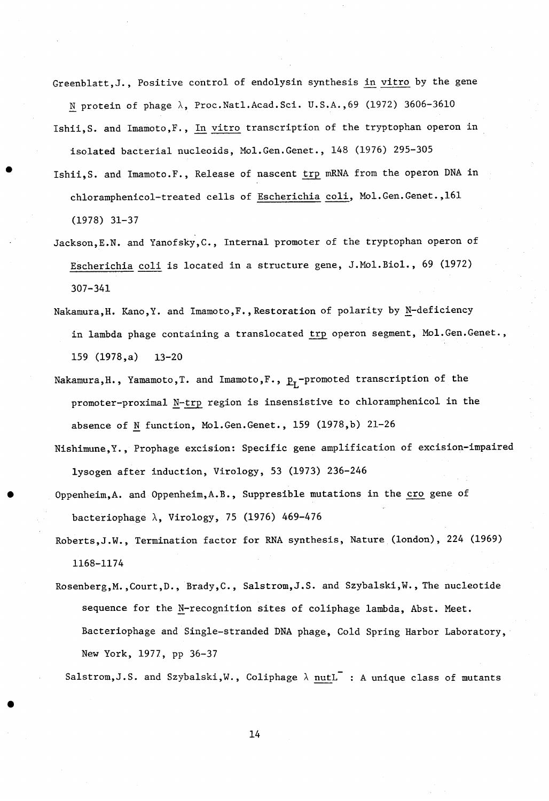Greenblatt,J., Positive control of endolysin synthesis in vitro by the gene

N protein of phage  $\lambda$ , Proc.Natl.Acad.Sci. U.S.A.,69 (1972) 3606-3610

Ishii, S. and Imamoto, F., In vitro transcription of the tryptophan operon in isolated bacterial nucleoids, Mol.Gen.Genet., 148 (1976) 295-305

- **Th-1- 1-** Ishii, S. and Imamoto.F., Release of nascent trp mRNA from the operon DNA in chloramphenicol-treated cells of Escherichia coli, Mol.Gen.Genet., 161 (1978) 3L-37
	- Jackson, E.N. and Yanofsky, C., Internal promoter of the tryptophan operon of Escherichia coli is located in a structure gene, J.Mol.Biol., 69 (L972) 307-34r
	- Nakamura, H. Kano, Y. and Imamoto, F., Restoration of polarity by N-deficiency in lambda phage containing a translocated trp operon segment, Mol.Gen.Genet., 159 (1978,a) L3-20
	- Nakamura, H., Yamamoto, T. and Imamoto,  $F_r$ ,  $p_1$ -promoted transcription of the promoter-proximal N-trp region is insensistive to chloramphenicol in the absence of  $M$  function, Mol.Gen.Genet., 159 (1978,b) 21-26
	- Nishimune,Y., Prophage exeision: Specific gene amplification of excision-impaired lysogen after induction, Virology, 53 (1973) 236-246
	- Oppenheim, A. and Oppenheim, A.B., Suppresible mutations in the cro gene of bacteriophage  $\lambda$ , Virology, 75 (1976) 469-476
	- Roberts, J.W., Termination factor for RNA synthesis, Nature (london), 224 (1969) 1168-1174
	- Rosenberg, M., Court, D., Brady, C., Salstrom, J.S. and Szybalski, W., The nucleotide seguence for the N-recognition sites of coliphage lambda, Abst. Meet. Bacteriophage and Single-stranded DNA phage, Cold Spring Harbor Laboratory, New York, L977, pp 36-37

Salstrom, J.S. and Szybalski, W., Coliphage  $\lambda$  nutl- : A unique class of mutants

4

o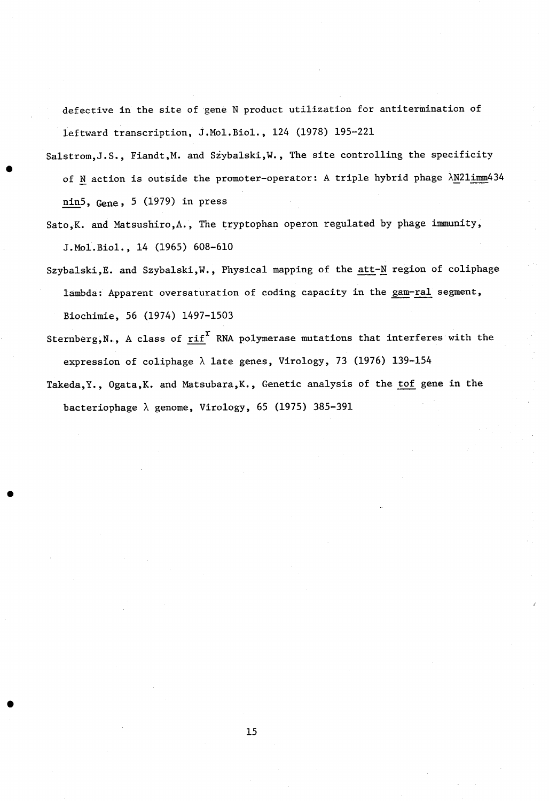defective in the site of gene N product utilization for antitermination of leftward transcription, J.Mol.Biol., 124 (1978) 195-221

- Salstrom, J.S., Fiandt, M. and Szybalski, W., The site controlling the specificity of N action is outside the promoter-operator: A triple hybrid phage  $\lambda$ N21imm434 nin5, Gene, 5 (1979) in press
- Sato, K. and Matsushiro, A., The tryptophan operon regulated by phage immunity, J.Mol.Biol., 14 (1965) 608-610
- Szybalski, E. and Szybalski, W., Physical mapping of the att-N region of coliphage lambda: Apparent oversaturation of coding capacity in the gam-ral segment, Biochimie, 56 (1974) 1497-1503
- Sternberg, N., A class of  $\text{rif}^r$  RNA polymerase mutations that interferes with the expression of coliphage  $\lambda$  late genes, Virology, 73 (1976) 139-154
- Takeda, Y., Ogata, K. and Matsubara, K., Genetic analysis of the tof gene in the bacteriophage  $\lambda$  genome, Virology, 65 (1975) 385-391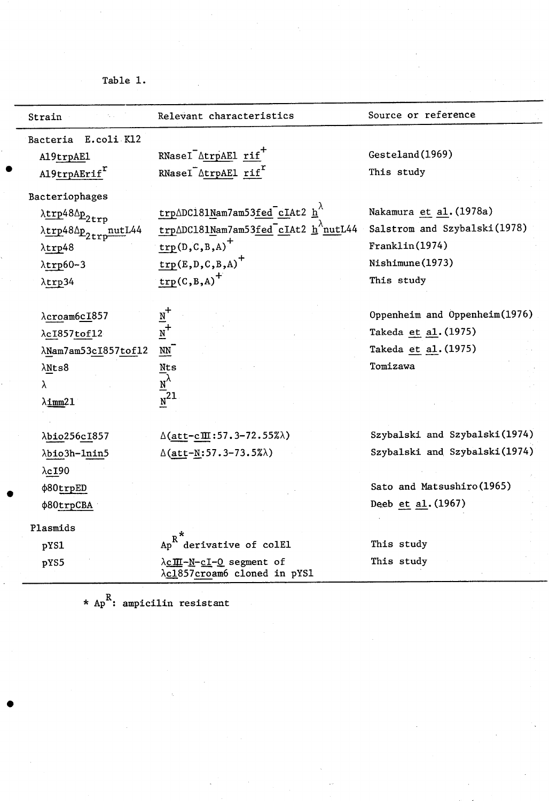| `abl<br><b>m</b> |  |
|------------------|--|
|                  |  |

| Strain                                            | Relevant characteristics                                                 | Source or reference            |
|---------------------------------------------------|--------------------------------------------------------------------------|--------------------------------|
| Bacteria E.coli K12                               |                                                                          |                                |
| A19trpAE1                                         | RNaseI <sup>-</sup> AtrpAE1 rif <sup>+</sup>                             | Gesteland (1969)               |
| Al9trpAErif <sup>r</sup>                          | RNaseI <sup>-</sup> AtrpAE1 rif <sup>1</sup>                             | This study                     |
| Bacteriophages                                    |                                                                          |                                |
| λtrp48Δp <sub>2trp</sub>                          | trpADC181Nam7am53fed <sup>-</sup> cIAt2 h <sup>^</sup>                   | Nakamura et al. (1978a)        |
| $\lambda$ trp48 $\Delta p$ <sub>2trp</sub> nutL44 | trp $\Delta$ DC181Nam7am53fed cIAt2 h <sup>^</sup> nutL44                | Salstrom and Szybalski (1978)  |
| $\lambda$ trp48                                   | $\text{trp}(D, C, B, A)$ <sup>+</sup>                                    | Franklin(1974)                 |
| $\lambda$ trp60-3                                 | $\text{trp}(E,D,C,B,A)^+$                                                | Nishimune (1973)               |
| $\lambda$ trp34                                   | $\text{trp}(C, B, A)$ <sup>+</sup>                                       | This study                     |
|                                                   |                                                                          |                                |
| λcroam6cI857                                      | $\underline{\underline{N}}^+$                                            | Oppenheim and Oppenheim (1976) |
| $\lambda$ cI857tof12                              | $\underline{\underline{N}}^+$                                            | Takeda et al. (1975)           |
| $\lambda$ Nam7am53cI857tof12                      | NN                                                                       | Takeda et al. (1975)           |
| $\lambda$ Nts8                                    | $\frac{Nts}{N^2}$<br>$\frac{N^2}{N^2}$                                   | Tomizawa                       |
| λ                                                 |                                                                          |                                |
| $\lambda$ imm21                                   |                                                                          |                                |
|                                                   |                                                                          | Szybalski and Szybalski (1974) |
| λbio256cI857                                      | $\Delta(\text{att-cIII}:57.3-72.55\%)$                                   | Szybalski and Szybalski (1974) |
| λbio3h-1nin5                                      | $\Delta(\texttt{att-N:57.3-73.5\%)}$                                     |                                |
| $\lambda c$ I90                                   |                                                                          |                                |
| φ80trpED                                          |                                                                          | Sato and Matsushiro (1965)     |
| φ80trpCBA                                         |                                                                          | Deeb et al. (1967)             |
| Plasmids                                          |                                                                          |                                |
| pYS1                                              | $Ap$ <sup>R</sup> derivative of colEl                                    | This study                     |
| pYS5                                              | $\lambda$ cIII-N-cI-0 segment of<br>$\lambda$ c1857croam6 cloned in pYS1 | This study                     |
|                                                   |                                                                          |                                |

\*  $Ap^R$ : ampicilin resistant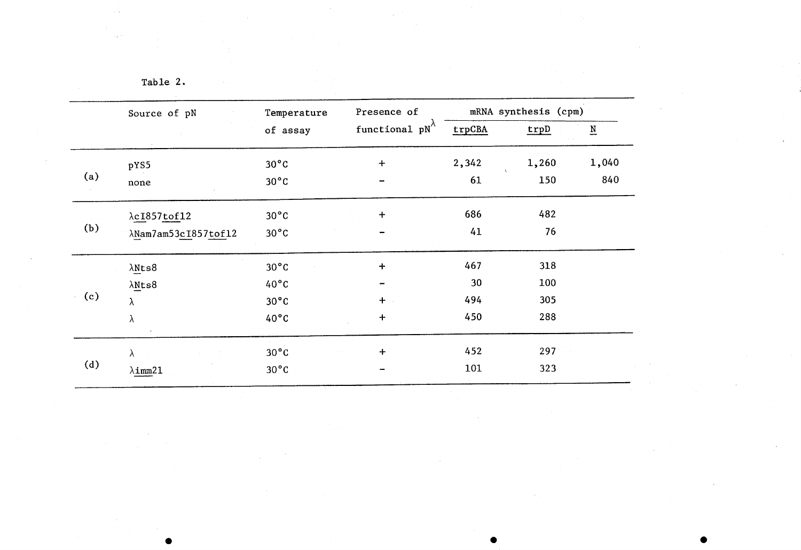Table 2.

|     | Source of pN                 | Temperature    | Presence of              |        | mRNA synthesis (cpm) |                                      |
|-----|------------------------------|----------------|--------------------------|--------|----------------------|--------------------------------------|
|     |                              | of assay       | functional $pN^{\wedge}$ | trpCBA | trpD                 | $\underline{\underline{\mathrm{N}}}$ |
| (a) | pYS5                         | $30^{\circ}$ C | $+$                      | 2,342  | 1,260                | 1,040                                |
|     | none                         | $30^{\circ}$ C |                          | 61     | 150                  | 840                                  |
| (b) | $\lambda$ cI857tof12         | $30^{\circ}$ C | $+$                      | 686    | 482                  |                                      |
|     | $\lambda$ Nam7am53cI857tof12 | $30^{\circ}$ C | $\overline{\phantom{a}}$ | 41     | 76                   |                                      |
|     | $\lambda$ Nts8               | $30^{\circ}$ C | $\ddot{}$                | 467    | 318                  |                                      |
|     | $\lambda$ Nts8               | $40^{\circ}$ C |                          | 30     | 100                  |                                      |
| (c) | λ                            | $30^{\circ}$ C | $+$                      | 494    | 305                  |                                      |
|     | $\lambda$                    | $40^{\circ}$ C | $+$                      | 450    | 288                  |                                      |
| (d) | $\lambda$                    | $30^{\circ}$ C | $+$                      | 452    | 297                  |                                      |
|     | $\lambda$ imm21              | $30^{\circ}$ C | $\overline{\phantom{0}}$ | 101    | 323                  |                                      |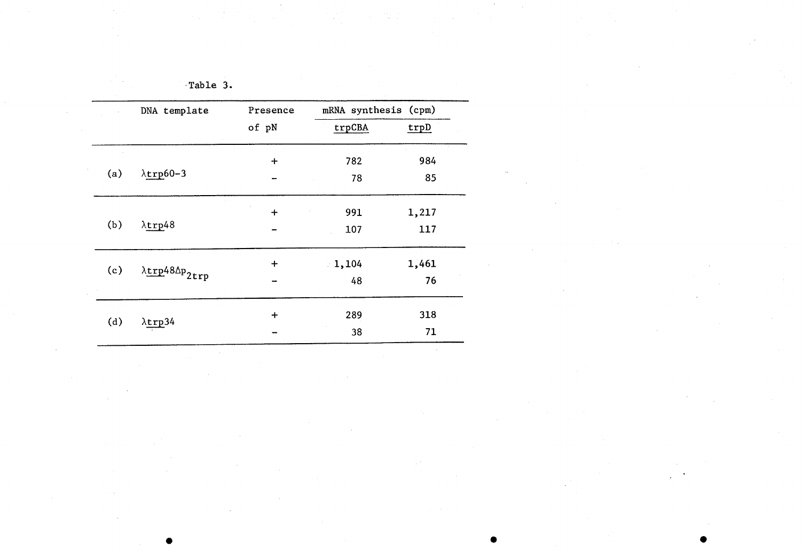Table 3.

|     | DNA template                               | Presence  | mRNA synthesis (cpm) |       |  |
|-----|--------------------------------------------|-----------|----------------------|-------|--|
|     |                                            | of pN     | trpCBA               | trpD  |  |
|     |                                            | $\div$    | 782                  | 984   |  |
| (a) | $\lambda$ trp60-3                          | -         | 78                   | 85    |  |
|     |                                            | $+$       | 991                  | 1,217 |  |
| (b) | $\lambda$ trp48                            |           | 107                  | 117   |  |
| (c) |                                            | $\ddot{}$ | $-1,104$             | 1,461 |  |
|     | $\lambda$ trp48 $\Delta$ p <sub>2trp</sub> |           | 48                   | 76    |  |
|     |                                            | $\div$    | 289                  | 318   |  |
| (d) | $\lambda$ trp34                            |           | 38                   | 71    |  |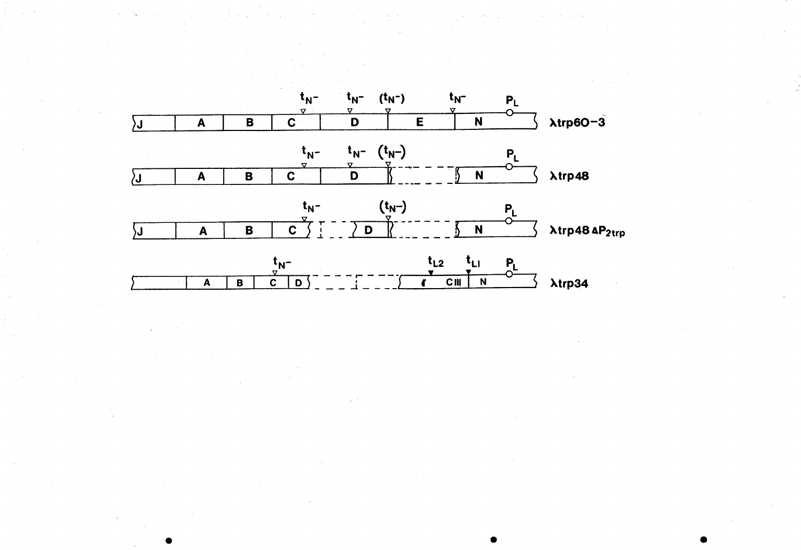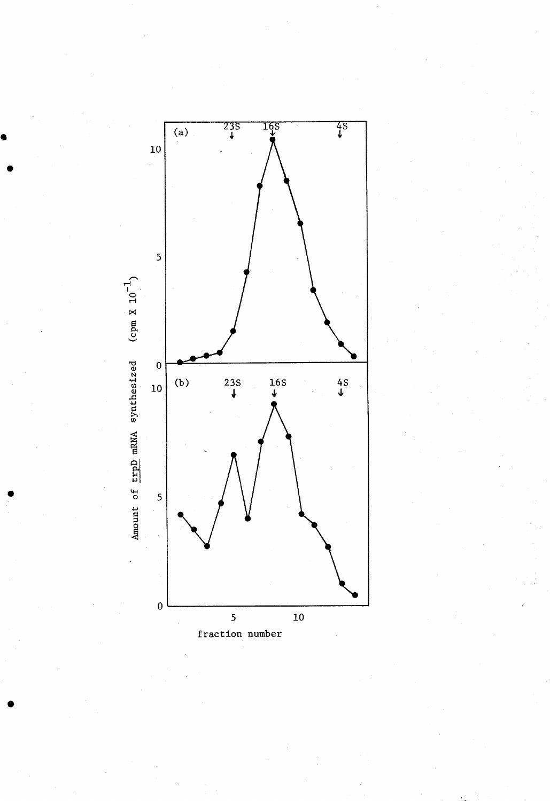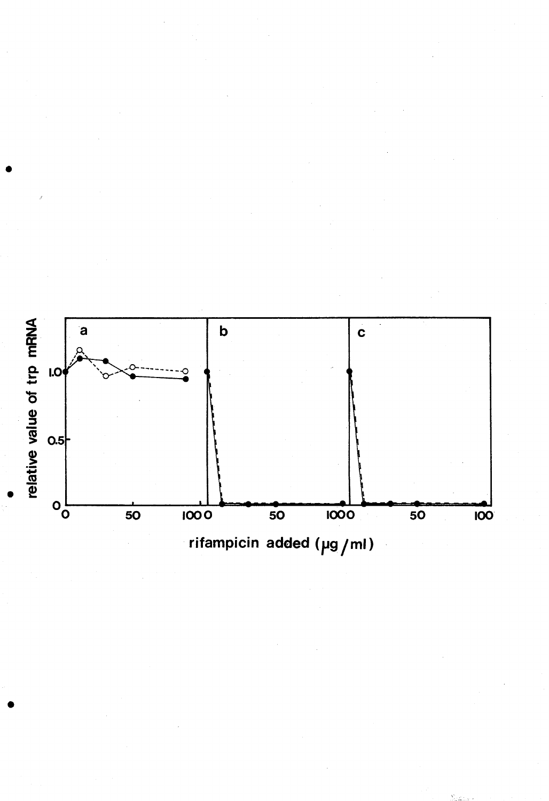